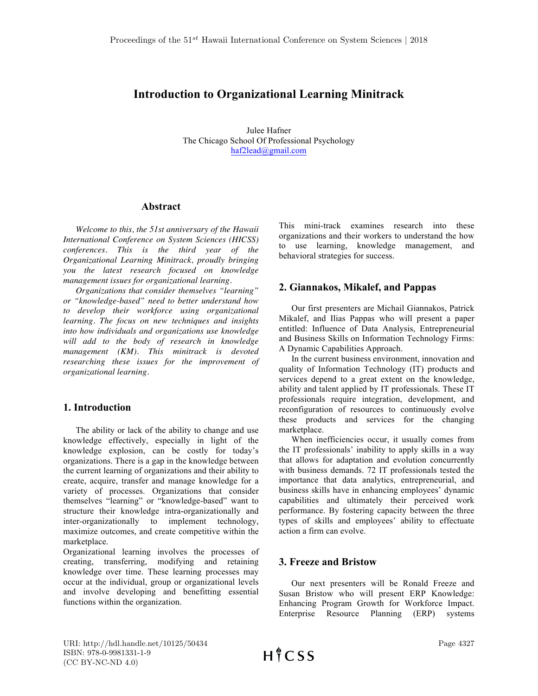# **Introduction to Organizational Learning Minitrack**

Julee Hafner The Chicago School Of Professional Psychology haf2lead@gmail.com

#### **Abstract**

*Welcome to this, the 51st anniversary of the Hawaii International Conference on System Sciences (HICSS) conferences. This is the third year of the Organizational Learning Minitrack, proudly bringing you the latest research focused on knowledge management issues for organizational learning.*

*Organizations that consider themselves "learning" or "knowledge-based" need to better understand how to develop their workforce using organizational learning. The focus on new techniques and insights into how individuals and organizations use knowledge will add to the body of research in knowledge management (KM). This minitrack is devoted researching these issues for the improvement of organizational learning.*

### **1. Introduction**

The ability or lack of the ability to change and use knowledge effectively, especially in light of the knowledge explosion, can be costly for today's organizations. There is a gap in the knowledge between the current learning of organizations and their ability to create, acquire, transfer and manage knowledge for a variety of processes. Organizations that consider themselves "learning" or "knowledge-based" want to structure their knowledge intra-organizationally and inter-organizationally to implement technology, maximize outcomes, and create competitive within the marketplace.

Organizational learning involves the processes of creating, transferring, modifying and retaining knowledge over time. These learning processes may occur at the individual, group or organizational levels and involve developing and benefitting essential functions within the organization.

This mini-track examines research into these organizations and their workers to understand the how to use learning, knowledge management, and behavioral strategies for success.

### **2. Giannakos, Mikalef, and Pappas**

Our first presenters are Michail Giannakos, Patrick Mikalef, and Ilias Pappas who will present a paper entitled: Influence of Data Analysis, Entrepreneurial and Business Skills on Information Technology Firms: A Dynamic Capabilities Approach.

In the current business environment, innovation and quality of Information Technology (IT) products and services depend to a great extent on the knowledge, ability and talent applied by IT professionals. These IT professionals require integration, development, and reconfiguration of resources to continuously evolve these products and services for the changing marketplace.

When inefficiencies occur, it usually comes from the IT professionals' inability to apply skills in a way that allows for adaptation and evolution concurrently with business demands. 72 IT professionals tested the importance that data analytics, entrepreneurial, and business skills have in enhancing employees' dynamic capabilities and ultimately their perceived work performance. By fostering capacity between the three types of skills and employees' ability to effectuate action a firm can evolve.

### **3. Freeze and Bristow**

Our next presenters will be Ronald Freeze and Susan Bristow who will present ERP Knowledge: Enhancing Program Growth for Workforce Impact. Enterprise Resource Planning (ERP) systems

URI: http://hdl.handle.net/10125/50434 ISBN: 978-0-9981331-1-9 (CC BY-NC-ND 4.0)